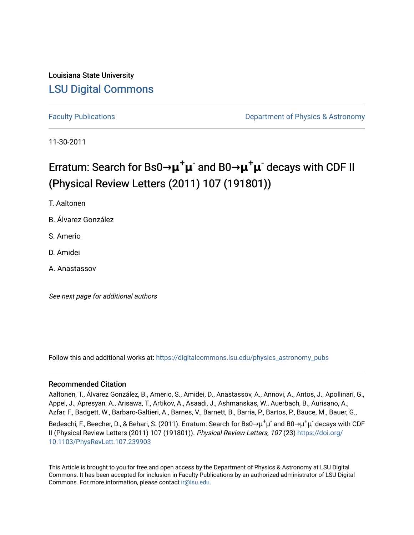## Louisiana State University [LSU Digital Commons](https://digitalcommons.lsu.edu/)

[Faculty Publications](https://digitalcommons.lsu.edu/physics_astronomy_pubs) **Example 2** Constant Department of Physics & Astronomy

11-30-2011

# Erratum: Search for Bs0**→μ**+**μ** - and B0**→μ**+**μ** - decays with CDF II (Physical Review Letters (2011) 107 (191801))

T. Aaltonen

B. Álvarez González

S. Amerio

D. Amidei

A. Anastassov

See next page for additional authors

Follow this and additional works at: [https://digitalcommons.lsu.edu/physics\\_astronomy\\_pubs](https://digitalcommons.lsu.edu/physics_astronomy_pubs?utm_source=digitalcommons.lsu.edu%2Fphysics_astronomy_pubs%2F2336&utm_medium=PDF&utm_campaign=PDFCoverPages) 

#### Recommended Citation

Aaltonen, T., Álvarez González, B., Amerio, S., Amidei, D., Anastassov, A., Annovi, A., Antos, J., Apollinari, G., Appel, J., Apresyan, A., Arisawa, T., Artikov, A., Asaadi, J., Ashmanskas, W., Auerbach, B., Aurisano, A., Azfar, F., Badgett, W., Barbaro-Galtieri, A., Barnes, V., Barnett, B., Barria, P., Bartos, P., Bauce, M., Bauer, G.,

Bedeschi, F., Beecher, D., & Behari, S. (2011). Erratum: Search for Bs0→μ $^+$ μ $^-$  and B0→μ $^+$ μ $^-$  decays with CDF II (Physical Review Letters (2011) 107 (191801)). Physical Review Letters, 107 (23) [https://doi.org/](https://doi.org/10.1103/PhysRevLett.107.239903) [10.1103/PhysRevLett.107.239903](https://doi.org/10.1103/PhysRevLett.107.239903)

This Article is brought to you for free and open access by the Department of Physics & Astronomy at LSU Digital Commons. It has been accepted for inclusion in Faculty Publications by an authorized administrator of LSU Digital Commons. For more information, please contact [ir@lsu.edu](mailto:ir@lsu.edu).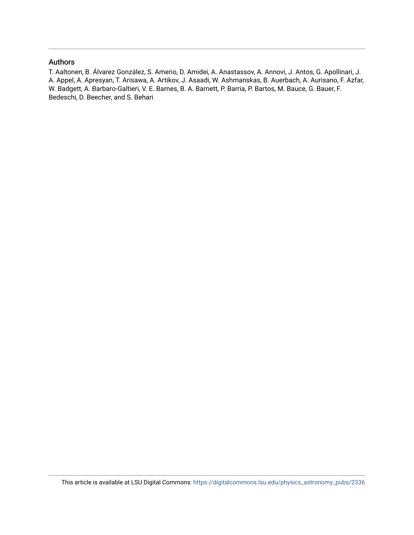#### Authors

T. Aaltonen, B. Álvarez González, S. Amerio, D. Amidei, A. Anastassov, A. Annovi, J. Antos, G. Apollinari, J. A. Appel, A. Apresyan, T. Arisawa, A. Artikov, J. Asaadi, W. Ashmanskas, B. Auerbach, A. Aurisano, F. Azfar, W. Badgett, A. Barbaro-Galtieri, V. E. Barnes, B. A. Barnett, P. Barria, P. Bartos, M. Bauce, G. Bauer, F. Bedeschi, D. Beecher, and S. Behari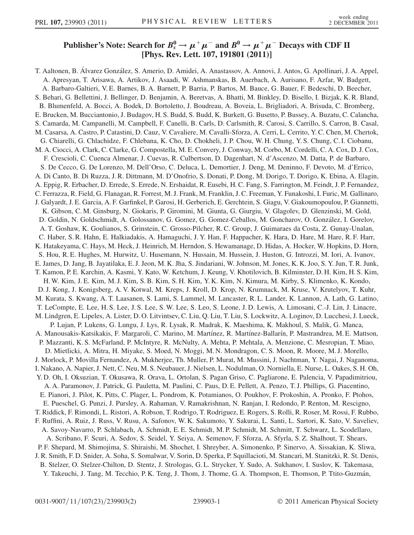### Publisher's Note: Search for  $B_s^0 \to \mu^+ \mu^-$  and  $B^0 \to \mu^+ \mu^-$  Decays with CDF II [Phys. Rev. Lett. 107, 191801 (2011)]

T. Aaltonen, B. Álvarez González, S. Amerio, D. Amidei, A. Anastassov, A. Annovi, J. Antos, G. Apollinari, J. A. Appel, A. Apresyan, T. Arisawa, A. Artikov, J. Asaadi, W. Ashmanskas, B. Auerbach, A. Aurisano, F. Azfar, W. Badgett, A. Barbaro-Galtieri, V. E. Barnes, B. A. Barnett, P. Barria, P. Bartos, M. Bauce, G. Bauer, F. Bedeschi, D. Beecher, S. Behari, G. Bellettini, J. Bellinger, D. Benjamin, A. Beretvas, A. Bhatti, M. Binkley, D. Bisello, I. Bizjak, K. R. Bland, B. Blumenfeld, A. Bocci, A. Bodek, D. Bortoletto, J. Boudreau, A. Boveia, L. Brigliadori, A. Brisuda, C. Bromberg, E. Brucken, M. Bucciantonio, J. Budagov, H. S. Budd, S. Budd, K. Burkett, G. Busetto, P. Bussey, A. Buzatu, C. Calancha, S. Camarda, M. Campanelli, M. Campbell, F. Canelli, B. Carls, D. Carlsmith, R. Carosi, S. Carrillo, S. Carron, B. Casal, M. Casarsa, A. Castro, P. Catastini, D. Cauz, V. Cavaliere, M. Cavalli-Sforza, A. Cerri, L. Cerrito, Y. C. Chen, M. Chertok, G. Chiarelli, G. Chlachidze, F. Chlebana, K. Cho, D. Chokheli, J. P. Chou, W. H. Chung, Y. S. Chung, C. I. Ciobanu, M. A. Ciocci, A. Clark, C. Clarke, G. Compostella, M. E. Convery, J. Conway, M. Corbo, M. Cordelli, C. A. Cox, D. J. Cox, F. Crescioli, C. Cuenca Almenar, J. Cuevas, R. Culbertson, D. Dagenhart, N. d'Ascenzo, M. Datta, P. de Barbaro, S. De Cecco, G. De Lorenzo, M. Dell'Orso, C. Deluca, L. Demortier, J. Deng, M. Deninno, F. Devoto, M. d'Errico, A. Di Canto, B. Di Ruzza, J. R. Dittmann, M. D'Onofrio, S. Donati, P. Dong, M. Dorigo, T. Dorigo, K. Ebina, A. Elagin, A. Eppig, R. Erbacher, D. Errede, S. Errede, N. Ershaidat, R. Eusebi, H. C. Fang, S. Farrington, M. Feindt, J. P. Fernandez, C. Ferrazza, R. Field, G. Flanagan, R. Forrest, M. J. Frank, M. Franklin, J. C. Freeman, Y. Funakoshi, I. Furic, M. Gallinaro, J. Galyardt, J. E. Garcia, A. F. Garfinkel, P. Garosi, H. Gerberich, E. Gerchtein, S. Giagu, V. Giakoumopoulou, P. Giannetti, K. Gibson, C. M. Ginsburg, N. Giokaris, P. Giromini, M. Giunta, G. Giurgiu, V. Glagolev, D. Glenzinski, M. Gold, D. Goldin, N. Goldschmidt, A. Golossanov, G. Gomez, G. Gomez-Ceballos, M. Goncharov, O. Gonza´lez, I. Gorelov, A. T. Goshaw, K. Goulianos, S. Grinstein, C. Grosso-Pilcher, R. C. Group, J. Guimaraes da Costa, Z. Gunay-Unalan, C. Haber, S. R. Hahn, E. Halkiadakis, A. Hamaguchi, J. Y. Han, F. Happacher, K. Hara, D. Hare, M. Hare, R. F. Harr, K. Hatakeyama, C. Hays, M. Heck, J. Heinrich, M. Herndon, S. Hewamanage, D. Hidas, A. Hocker, W. Hopkins, D. Horn, S. Hou, R. E. Hughes, M. Hurwitz, U. Husemann, N. Hussain, M. Hussein, J. Huston, G. Introzzi, M. Iori, A. Ivanov, E. James, D. Jang, B. Jayatilaka, E. J. Jeon, M. K. Jha, S. Jindariani, W. Johnson, M. Jones, K. K. Joo, S. Y. Jun, T. R. Junk, T. Kamon, P. E. Karchin, A. Kasmi, Y. Kato, W. Ketchum, J. Keung, V. Khotilovich, B. Kilminster, D. H. Kim, H. S. Kim, H. W. Kim, J. E. Kim, M. J. Kim, S. B. Kim, S. H. Kim, Y. K. Kim, N. Kimura, M. Kirby, S. Klimenko, K. Kondo, D. J. Kong, J. Konigsberg, A. V. Kotwal, M. Kreps, J. Kroll, D. Krop, N. Krumnack, M. Kruse, V. Krutelyov, T. Kuhr, M. Kurata, S. Kwang, A. T. Laasanen, S. Lami, S. Lammel, M. Lancaster, R. L. Lander, K. Lannon, A. Lath, G. Latino, T. LeCompte, E. Lee, H. S. Lee, J. S. Lee, S. W. Lee, S. Leo, S. Leone, J. D. Lewis, A. Limosani, C.-J. Lin, J. Linacre, M. Lindgren, E. Lipeles, A. Lister, D. O. Litvintsev, C. Liu, Q. Liu, T. Liu, S. Lockwitz, A. Loginov, D. Lucchesi, J. Lueck, P. Lujan, P. Lukens, G. Lungu, J. Lys, R. Lysak, R. Madrak, K. Maeshima, K. Makhoul, S. Malik, G. Manca, A. Manousakis-Katsikakis, F. Margaroli, C. Marino, M. Martı´nez, R. Martı´nez-Balları´n, P. Mastrandrea, M. E. Mattson, P. Mazzanti, K. S. McFarland, P. McIntyre, R. McNulty, A. Mehta, P. Mehtala, A. Menzione, C. Mesropian, T. Miao, D. Mietlicki, A. Mitra, H. Miyake, S. Moed, N. Moggi, M. N. Mondragon, C. S. Moon, R. Moore, M. J. Morello, J. Morlock, P. Movilla Fernandez, A. Mukherjee, Th. Muller, P. Murat, M. Mussini, J. Nachtman, Y. Nagai, J. Naganoma, I. Nakano, A. Napier, J. Nett, C. Neu, M. S. Neubauer, J. Nielsen, L. Nodulman, O. Norniella, E. Nurse, L. Oakes, S. H. Oh, Y. D. Oh, I. Oksuzian, T. Okusawa, R. Orava, L. Ortolan, S. Pagan Griso, C. Pagliarone, E. Palencia, V. Papadimitriou, A. A. Paramonov, J. Patrick, G. Pauletta, M. Paulini, C. Paus, D. E. Pellett, A. Penzo, T. J. Phillips, G. Piacentino, E. Pianori, J. Pilot, K. Pitts, C. Plager, L. Pondrom, K. Potamianos, O. Poukhov, F. Prokoshin, A. Pronko, F. Ptohos, E. Pueschel, G. Punzi, J. Pursley, A. Rahaman, V. Ramakrishnan, N. Ranjan, I. Redondo, P. Renton, M. Rescigno, T. Riddick, F. Rimondi, L. Ristori, A. Robson, T. Rodrigo, T. Rodriguez, E. Rogers, S. Rolli, R. Roser, M. Rossi, F. Rubbo, F. Ruffini, A. Ruiz, J. Russ, V. Rusu, A. Safonov, W. K. Sakumoto, Y. Sakurai, L. Santi, L. Sartori, K. Sato, V. Saveliev, A. Savoy-Navarro, P. Schlabach, A. Schmidt, E. E. Schmidt, M. P. Schmidt, M. Schmitt, T. Schwarz, L. Scodellaro, A. Scribano, F. Scuri, A. Sedov, S. Seidel, Y. Seiya, A. Semenov, F. Sforza, A. Sfyrla, S. Z. Shalhout, T. Shears, P. F. Shepard, M. Shimojima, S. Shiraishi, M. Shochet, I. Shreyber, A. Simonenko, P. Sinervo, A. Sissakian, K. Sliwa, J. R. Smith, F. D. Snider, A. Soha, S. Somalwar, V. Sorin, D. Sperka, P. Squillacioti, M. Stancari, M. Stanitzki, R. St. Denis, B. Stelzer, O. Stelzer-Chilton, D. Stentz, J. Strologas, G. L. Strycker, Y. Sudo, A. Sukhanov, I. Suslov, K. Takemasa, Y. Takeuchi, J. Tang, M. Tecchio, P. K. Teng, J. Thom, J. Thome, G. A. Thompson, E. Thomson, P. Ttito-Guzmán,